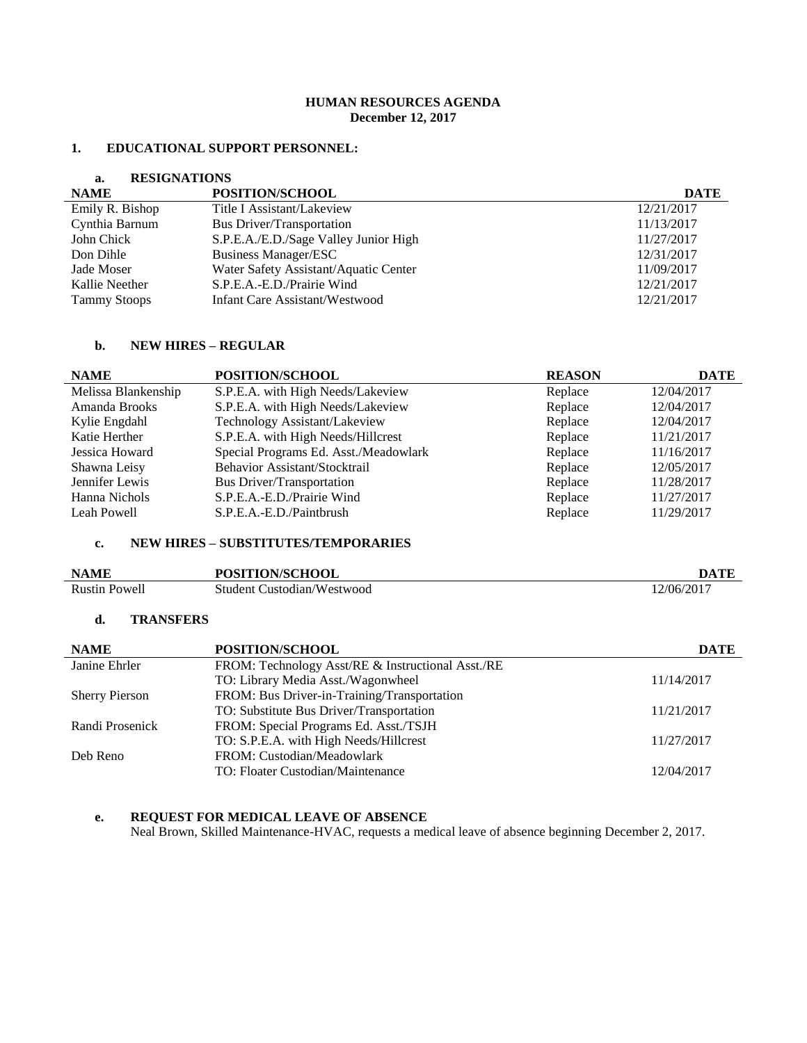# **HUMAN RESOURCES AGENDA December 12, 2017**

#### **1. EDUCATIONAL SUPPORT PERSONNEL:**

#### **a. RESIGNATIONS**

| <b>NAME</b>         | <b>POSITION/SCHOOL</b>                | <b>DATE</b> |
|---------------------|---------------------------------------|-------------|
| Emily R. Bishop     | Title I Assistant/Lakeview            | 12/21/2017  |
| Cynthia Barnum      | <b>Bus Driver/Transportation</b>      | 11/13/2017  |
| John Chick          | S.P.E.A./E.D./Sage Valley Junior High | 11/27/2017  |
| Don Dihle           | <b>Business Manager/ESC</b>           | 12/31/2017  |
| Jade Moser          | Water Safety Assistant/Aquatic Center | 11/09/2017  |
| Kallie Neether      | S.P.E.A.-E.D./Prairie Wind            | 12/21/2017  |
| <b>Tammy Stoops</b> | Infant Care Assistant/Westwood        | 12/21/2017  |

#### **b. NEW HIRES – REGULAR**

| <b>NAME</b>         | POSITION/SCHOOL                       | <b>REASON</b> | <b>DATE</b> |
|---------------------|---------------------------------------|---------------|-------------|
| Melissa Blankenship | S.P.E.A. with High Needs/Lakeview     | Replace       | 12/04/2017  |
| Amanda Brooks       | S.P.E.A. with High Needs/Lakeview     | Replace       | 12/04/2017  |
| Kylie Engdahl       | Technology Assistant/Lakeview         | Replace       | 12/04/2017  |
| Katie Herther       | S.P.E.A. with High Needs/Hillcrest    | Replace       | 11/21/2017  |
| Jessica Howard      | Special Programs Ed. Asst./Meadowlark | Replace       | 11/16/2017  |
| Shawna Leisy        | Behavior Assistant/Stocktrail         | Replace       | 12/05/2017  |
| Jennifer Lewis      | <b>Bus Driver/Transportation</b>      | Replace       | 11/28/2017  |
| Hanna Nichols       | S.P.E.A.-E.D./Prairie Wind            | Replace       | 11/27/2017  |
| Leah Powell         | S.P.E.A.-E.D./Paintbrush              | Replace       | 11/29/2017  |

# **c. NEW HIRES – SUBSTITUTES/TEMPORARIES**

| <b>NAME</b>          | <b>POSITION/SCHOOL</b>     | <b>DATF</b> |
|----------------------|----------------------------|-------------|
| <b>Rustin Powell</b> | Student Custodian/Westwood | 12/06/2017  |

### **d. TRANSFERS**

| <b>NAME</b>           | POSITION/SCHOOL                                   | <b>DATE</b> |
|-----------------------|---------------------------------------------------|-------------|
| Janine Ehrler         | FROM: Technology Asst/RE & Instructional Asst./RE |             |
|                       | TO: Library Media Asst./Wagonwheel                | 11/14/2017  |
| <b>Sherry Pierson</b> | FROM: Bus Driver-in-Training/Transportation       |             |
|                       | TO: Substitute Bus Driver/Transportation          | 11/21/2017  |
| Randi Prosenick       | FROM: Special Programs Ed. Asst./TSJH             |             |
|                       | TO: S.P.E.A. with High Needs/Hillcrest            | 11/27/2017  |
| Deb Reno              | FROM: Custodian/Meadowlark                        |             |
|                       | TO: Floater Custodian/Maintenance                 | 12/04/2017  |

# **e. REQUEST FOR MEDICAL LEAVE OF ABSENCE**

Neal Brown, Skilled Maintenance-HVAC, requests a medical leave of absence beginning December 2, 2017.